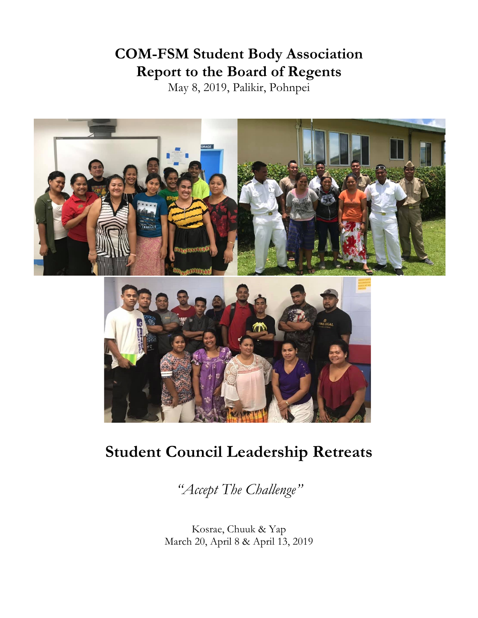# **COM-FSM Student Body Association Report to the Board of Regents**

May 8, 2019, Palikir, Pohnpei



# **Student Council Leadership Retreats**

*"Accept The Challenge"*

Kosrae, Chuuk & Yap March 20, April 8 & April 13, 2019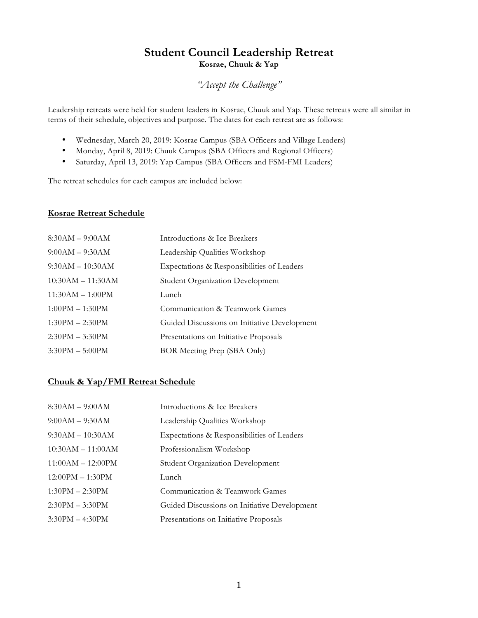# **Student Council Leadership Retreat Kosrae, Chuuk & Yap**

## *"Accept the Challenge"*

Leadership retreats were held for student leaders in Kosrae, Chuuk and Yap. These retreats were all similar in terms of their schedule, objectives and purpose. The dates for each retreat are as follows:

- Wednesday, March 20, 2019: Kosrae Campus (SBA Officers and Village Leaders)
- Monday, April 8, 2019: Chuuk Campus (SBA Officers and Regional Officers)
- Saturday, April 13, 2019: Yap Campus (SBA Officers and FSM-FMI Leaders)

The retreat schedules for each campus are included below:

### **Kosrae Retreat Schedule**

| $8:30AM - 9:00AM$   | Introductions & Ice Breakers                 |
|---------------------|----------------------------------------------|
| $9:00AM - 9:30AM$   | Leadership Qualities Workshop                |
| $9:30AM - 10:30AM$  | Expectations & Responsibilities of Leaders   |
| $10:30AM - 11:30AM$ | <b>Student Organization Development</b>      |
| $11:30AM - 1:00PM$  | Lunch                                        |
| $1:00PM - 1:30PM$   | Communication & Teamwork Games               |
| $1:30PM - 2:30PM$   | Guided Discussions on Initiative Development |
| $2:30PM - 3:30PM$   | Presentations on Initiative Proposals        |
| $3:30PM - 5:00PM$   | BOR Meeting Prep (SBA Only)                  |

### **Chuuk & Yap/FMI Retreat Schedule**

| $8:30AM - 9:00AM$   | Introductions & Ice Breakers                 |
|---------------------|----------------------------------------------|
| $9:00AM - 9:30AM$   | Leadership Qualities Workshop                |
| $9:30AM - 10:30AM$  | Expectations & Responsibilities of Leaders   |
| $10:30AM - 11:00AM$ | Professionalism Workshop                     |
| $11:00AM - 12:00PM$ | <b>Student Organization Development</b>      |
| $12:00PM - 1:30PM$  | Lunch                                        |
| $1:30PM - 2:30PM$   | Communication & Teamwork Games               |
| $2:30PM - 3:30PM$   | Guided Discussions on Initiative Development |
| $3:30PM - 4:30PM$   | Presentations on Initiative Proposals        |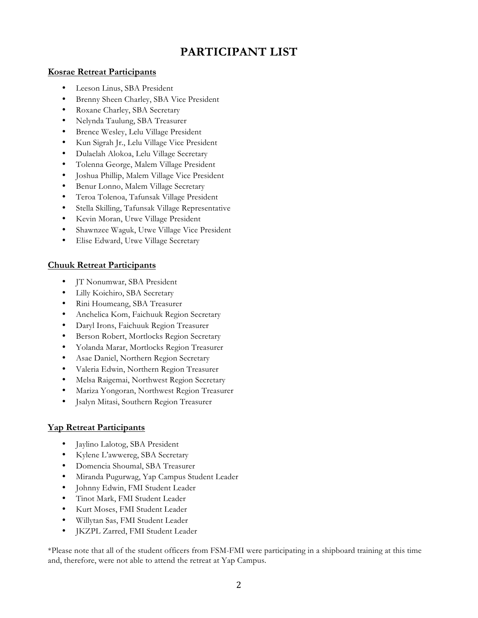# **PARTICIPANT LIST**

### **Kosrae Retreat Participants**

- Leeson Linus, SBA President
- Brenny Sheen Charley, SBA Vice President
- Roxane Charley, SBA Secretary
- Nelynda Taulung, SBA Treasurer
- Brence Wesley, Lelu Village President
- Kun Sigrah Jr., Lelu Village Vice President
- Dulaelah Alokoa, Lelu Village Secretary
- Tolenna George, Malem Village President
- Joshua Phillip, Malem Village Vice President
- Benur Lonno, Malem Village Secretary
- Teroa Tolenoa, Tafunsak Village President
- Stella Skilling, Tafunsak Village Representative
- Kevin Moran, Utwe Village President
- Shawnzee Waguk, Utwe Village Vice President
- Elise Edward, Utwe Village Secretary

## **Chuuk Retreat Participants**

- JT Nonumwar, SBA President
- Lilly Koichiro, SBA Secretary
- Rini Houmeang, SBA Treasurer
- Anchelica Kom, Faichuuk Region Secretary
- Daryl Irons, Faichuuk Region Treasurer
- Berson Robert, Mortlocks Region Secretary
- Yolanda Marar, Mortlocks Region Treasurer
- Asae Daniel, Northern Region Secretary
- Valeria Edwin, Northern Region Treasurer
- Melsa Raigemai, Northwest Region Secretary
- Mariza Yongoran, Northwest Region Treasurer
- Jsalyn Mitasi, Southern Region Treasurer

## **Yap Retreat Participants**

- Jaylino Lalotog, SBA President
- Kylene L'awwereg, SBA Secretary
- Domencia Shoumal, SBA Treasurer
- Miranda Pugurwag, Yap Campus Student Leader
- Johnny Edwin, FMI Student Leader
- Tinot Mark, FMI Student Leader
- Kurt Moses, FMI Student Leader
- Willytan Sas, FMI Student Leader
- JKZPL Zarred, FMI Student Leader

\*Please note that all of the student officers from FSM-FMI were participating in a shipboard training at this time and, therefore, were not able to attend the retreat at Yap Campus.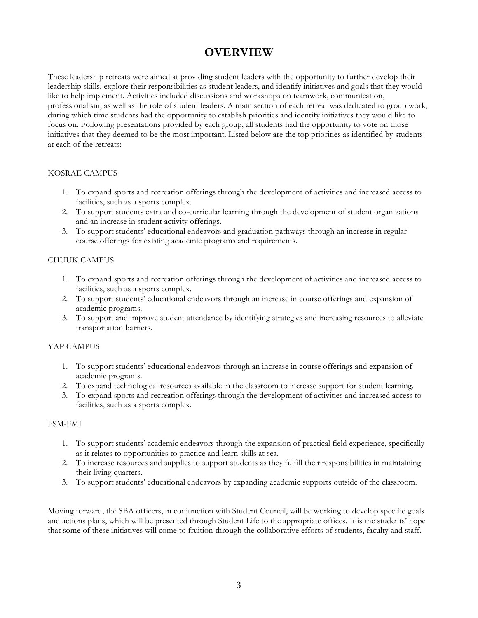# **OVERVIEW**

These leadership retreats were aimed at providing student leaders with the opportunity to further develop their leadership skills, explore their responsibilities as student leaders, and identify initiatives and goals that they would like to help implement. Activities included discussions and workshops on teamwork, communication, professionalism, as well as the role of student leaders. A main section of each retreat was dedicated to group work, during which time students had the opportunity to establish priorities and identify initiatives they would like to focus on. Following presentations provided by each group, all students had the opportunity to vote on those initiatives that they deemed to be the most important. Listed below are the top priorities as identified by students at each of the retreats:

#### KOSRAE CAMPUS

- 1. To expand sports and recreation offerings through the development of activities and increased access to facilities, such as a sports complex.
- 2. To support students extra and co-curricular learning through the development of student organizations and an increase in student activity offerings.
- 3. To support students' educational endeavors and graduation pathways through an increase in regular course offerings for existing academic programs and requirements.

#### CHUUK CAMPUS

- 1. To expand sports and recreation offerings through the development of activities and increased access to facilities, such as a sports complex.
- 2. To support students' educational endeavors through an increase in course offerings and expansion of academic programs.
- 3. To support and improve student attendance by identifying strategies and increasing resources to alleviate transportation barriers.

#### YAP CAMPUS

- 1. To support students' educational endeavors through an increase in course offerings and expansion of academic programs.
- 2. To expand technological resources available in the classroom to increase support for student learning.
- 3. To expand sports and recreation offerings through the development of activities and increased access to facilities, such as a sports complex.

#### FSM-FMI

- 1. To support students' academic endeavors through the expansion of practical field experience, specifically as it relates to opportunities to practice and learn skills at sea.
- 2. To increase resources and supplies to support students as they fulfill their responsibilities in maintaining their living quarters.
- 3. To support students' educational endeavors by expanding academic supports outside of the classroom.

Moving forward, the SBA officers, in conjunction with Student Council, will be working to develop specific goals and actions plans, which will be presented through Student Life to the appropriate offices. It is the students' hope that some of these initiatives will come to fruition through the collaborative efforts of students, faculty and staff.